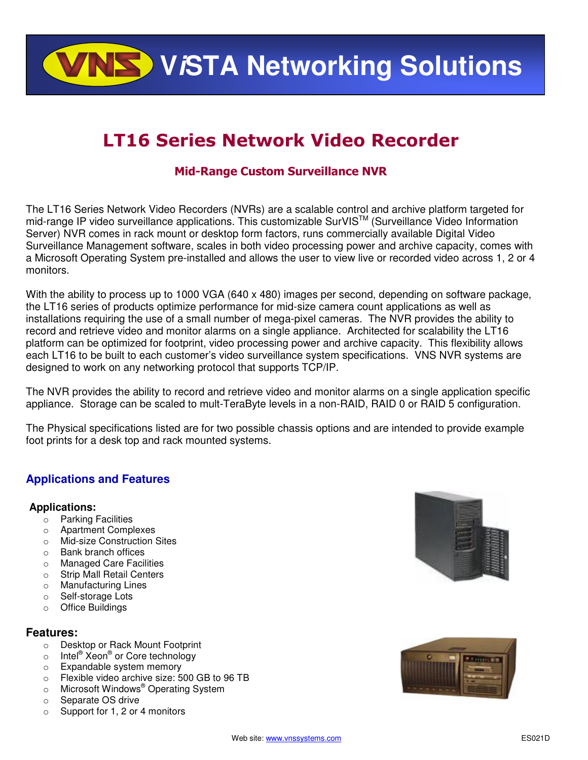**WISTA Networking Solutions** 

# LT16 Series Network Video Recorder

# Mid-Range Custom Surveillance NVR

The LT16 Series Network Video Recorders (NVRs) are a scalable control and archive platform targeted for mid-range IP video surveillance applications. This customizable SurVIS™ (Surveillance Video Information information Server) NVR comes in rack mount or desktop form factors, runs commercially available Digital Video Surveillance Management software, scales in both video processing power and archive capacity, comes with a Microsoft Operating System pre-installed and allows the user to view live or recorded video across 1, 2 or 4 monitors.

With the ability to process up to 1000 VGA (640 x 480) images per second, depending on software package, the LT16 series of products optimize performance for mid-size camera count applications as well as installations requiring the use of a small number of mega-pixel cameras. The NVR provides the ability to record and retrieve video and monitor alarms on a single appliance. Architected for scalability the LT16 platform can be optimized for footprint, video processing power and archive capacity. This flexibility allows each LT16 to be built to each customer's video surveillance system specifications. VNS NVR systems are designed to work on any networking protocol that supports TCP/IP.

The NVR provides the ability to record and retrieve video and monitor alarms on a single application specific appliance. Storage can be scaled to mult-TeraByte levels in a non-RAID, RAID 0 or RAID 5 configuration.

The Physical specifications listed are for two possible chassis options and are intended to provide example foot prints for a desk top and rack mounted systems.

# **Applications and Features**

# **Applications:**

- o Parking Facilities
- o Apartment Complexes
- o Mid-size Construction Sites
- o Bank branch offices
- o Managed Care Facilities
- o Strip Mall Retail Centers
- o Manufacturing Lines
- o Self-storage Lots
- o Office Buildings

# **Features:**

- o Desktop or Rack Mount Footprint
- o Intel® Xeon® or Core technology
- o Expandable system memory
- o Flexible video archive size: 500 GB to 96 TB
- o Microsoft Windows<sup>®</sup> Operating System
- o Separate OS drive
- o Support for 1, 2 or 4 monitors